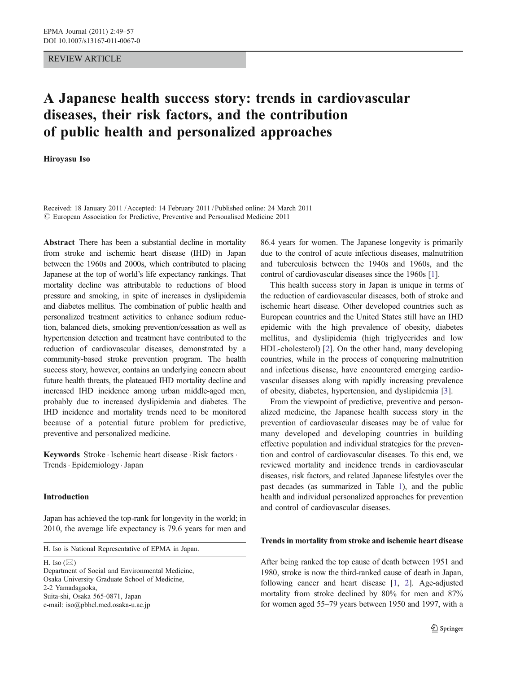## REVIEW ARTICLE

# A Japanese health success story: trends in cardiovascular diseases, their risk factors, and the contribution of public health and personalized approaches

## Hiroyasu Iso

Received: 18 January 2011 /Accepted: 14 February 2011 / Published online: 24 March 2011  $\odot$  European Association for Predictive, Preventive and Personalised Medicine 2011

Abstract There has been a substantial decline in mortality from stroke and ischemic heart disease (IHD) in Japan between the 1960s and 2000s, which contributed to placing Japanese at the top of world's life expectancy rankings. That mortality decline was attributable to reductions of blood pressure and smoking, in spite of increases in dyslipidemia and diabetes mellitus. The combination of public health and personalized treatment activities to enhance sodium reduction, balanced diets, smoking prevention/cessation as well as hypertension detection and treatment have contributed to the reduction of cardiovascular diseases, demonstrated by a community-based stroke prevention program. The health success story, however, contains an underlying concern about future health threats, the plateaued IHD mortality decline and increased IHD incidence among urban middle-aged men, probably due to increased dyslipidemia and diabetes. The IHD incidence and mortality trends need to be monitored because of a potential future problem for predictive, preventive and personalized medicine.

Keywords Stroke . Ischemic heart disease . Risk factors . Trends. Epidemiology .Japan

## Introduction

Japan has achieved the top-rank for longevity in the world; in 2010, the average life expectancy is 79.6 years for men and

H. Iso is National Representative of EPMA in Japan.

H. Iso  $(\boxtimes)$ 

Department of Social and Environmental Medicine, Osaka University Graduate School of Medicine, 2-2 Yamadagaoka, Suita-shi, Osaka 565-0871, Japan e-mail: iso@pbhel.med.osaka-u.ac.jp

86.4 years for women. The Japanese longevity is primarily due to the control of acute infectious diseases, malnutrition and tuberculosis between the 1940s and 1960s, and the control of cardiovascular diseases since the 1960s [\[1](#page-6-0)].

This health success story in Japan is unique in terms of the reduction of cardiovascular diseases, both of stroke and ischemic heart disease. Other developed countries such as European countries and the United States still have an IHD epidemic with the high prevalence of obesity, diabetes mellitus, and dyslipidemia (high triglycerides and low HDL-cholesterol) [[2\]](#page-6-0). On the other hand, many developing countries, while in the process of conquering malnutrition and infectious disease, have encountered emerging cardiovascular diseases along with rapidly increasing prevalence of obesity, diabetes, hypertension, and dyslipidemia [[3\]](#page-6-0).

From the viewpoint of predictive, preventive and personalized medicine, the Japanese health success story in the prevention of cardiovascular diseases may be of value for many developed and developing countries in building effective population and individual strategies for the prevention and control of cardiovascular diseases. To this end, we reviewed mortality and incidence trends in cardiovascular diseases, risk factors, and related Japanese lifestyles over the past decades (as summarized in Table [1\)](#page-1-0), and the public health and individual personalized approaches for prevention and control of cardiovascular diseases.

## Trends in mortality from stroke and ischemic heart disease

After being ranked the top cause of death between 1951 and 1980, stroke is now the third-ranked cause of death in Japan, following cancer and heart disease [\[1,](#page-6-0) [2\]](#page-6-0). Age-adjusted mortality from stroke declined by 80% for men and 87% for women aged 55–79 years between 1950 and 1997, with a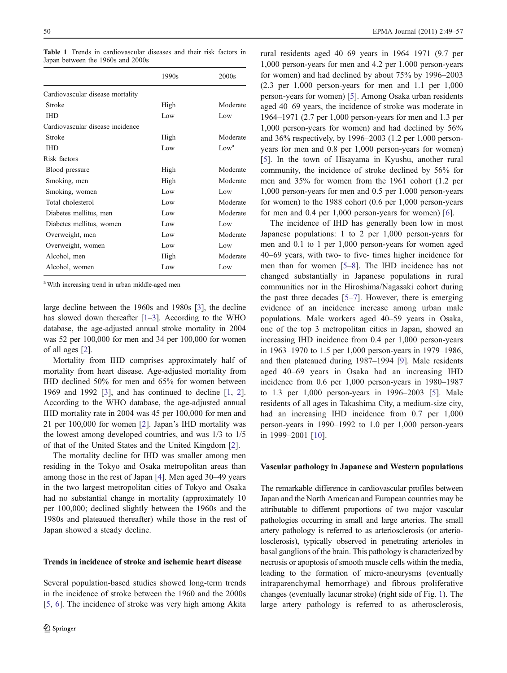<span id="page-1-0"></span>Table 1 Trends in cardiovascular diseases and their risk factors in Japan between the 1960s and 2000s

|                                  | 1990s | 2000s            |
|----------------------------------|-------|------------------|
| Cardiovascular disease mortality |       |                  |
| Stroke                           | High  | Moderate         |
| <b>IHD</b>                       | Low   | Low              |
| Cardiovascular disease incidence |       |                  |
| Stroke                           | High  | Moderate         |
| <b>IHD</b>                       | Low   | Low <sup>a</sup> |
| Risk factors                     |       |                  |
| Blood pressure                   | High  | Moderate         |
| Smoking, men                     | High  | Moderate         |
| Smoking, women                   | Low   | Low              |
| Total cholesterol                | Low   | Moderate         |
| Diabetes mellitus, men           | Low   | Moderate         |
| Diabetes mellitus, women         | Low   | Low              |
| Overweight, men                  | Low   | Moderate         |
| Overweight, women                | Low   | Low              |
| Alcohol, men                     | High  | Moderate         |
| Alcohol, women                   | Low   | Low              |

<sup>a</sup> With increasing trend in urban middle-aged men

large decline between the 1960s and 1980s [[3\]](#page-6-0), the decline has slowed down thereafter [\[1](#page-6-0)–[3\]](#page-6-0). According to the WHO database, the age-adjusted annual stroke mortality in 2004 was 52 per 100,000 for men and 34 per 100,000 for women of all ages [\[2](#page-6-0)].

Mortality from IHD comprises approximately half of mortality from heart disease. Age-adjusted mortality from IHD declined 50% for men and 65% for women between 1969 and 1992 [\[3](#page-6-0)], and has continued to decline [\[1](#page-6-0), [2](#page-6-0)]. According to the WHO database, the age-adjusted annual IHD mortality rate in 2004 was 45 per 100,000 for men and 21 per 100,000 for women [[2\]](#page-6-0). Japan's IHD mortality was the lowest among developed countries, and was 1/3 to 1/5 of that of the United States and the United Kingdom [[2\]](#page-6-0).

The mortality decline for IHD was smaller among men residing in the Tokyo and Osaka metropolitan areas than among those in the rest of Japan [\[4](#page-6-0)]. Men aged 30–49 years in the two largest metropolitan cities of Tokyo and Osaka had no substantial change in mortality (approximately 10 per 100,000; declined slightly between the 1960s and the 1980s and plateaued thereafter) while those in the rest of Japan showed a steady decline.

## Trends in incidence of stroke and ischemic heart disease

Several population-based studies showed long-term trends in the incidence of stroke between the 1960 and the 2000s [\[5](#page-7-0), [6\]](#page-7-0). The incidence of stroke was very high among Akita rural residents aged 40–69 years in 1964–1971 (9.7 per 1,000 person-years for men and 4.2 per 1,000 person-years for women) and had declined by about 75% by 1996–2003 (2.3 per 1,000 person-years for men and 1.1 per 1,000 person-years for women) [\[5](#page-7-0)]. Among Osaka urban residents aged 40–69 years, the incidence of stroke was moderate in 1964–1971 (2.7 per 1,000 person-years for men and 1.3 per 1,000 person-years for women) and had declined by 56% and 36% respectively, by 1996–2003 (1.2 per 1,000 personyears for men and 0.8 per 1,000 person-years for women) [\[5](#page-7-0)]. In the town of Hisayama in Kyushu, another rural community, the incidence of stroke declined by 56% for men and 35% for women from the 1961 cohort (1.2 per 1,000 person-years for men and 0.5 per 1,000 person-years for women) to the 1988 cohort (0.6 per 1,000 person-years for men and 0.4 per 1,000 person-years for women) [[6\]](#page-7-0).

The incidence of IHD has generally been low in most Japanese populations: 1 to 2 per 1,000 person-years for men and 0.1 to 1 per 1,000 person-years for women aged 40–69 years, with two- to five- times higher incidence for men than for women [\[5](#page-7-0)–[8](#page-7-0)]. The IHD incidence has not changed substantially in Japanese populations in rural communities nor in the Hiroshima/Nagasaki cohort during the past three decades [[5](#page-7-0)–[7\]](#page-7-0). However, there is emerging evidence of an incidence increase among urban male populations. Male workers aged 40–59 years in Osaka, one of the top 3 metropolitan cities in Japan, showed an increasing IHD incidence from 0.4 per 1,000 person-years in 1963–1970 to 1.5 per 1,000 person-years in 1979–1986, and then plateaued during 1987–1994 [[9\]](#page-7-0). Male residents aged 40–69 years in Osaka had an increasing IHD incidence from 0.6 per 1,000 person-years in 1980–1987 to 1.3 per 1,000 person-years in 1996–2003 [[5\]](#page-7-0). Male residents of all ages in Takashima City, a medium-size city, had an increasing IHD incidence from 0.7 per 1,000 person-years in 1990–1992 to 1.0 per 1,000 person-years in 1999–2001 [[10\]](#page-7-0).

#### Vascular pathology in Japanese and Western populations

The remarkable difference in cardiovascular profiles between Japan and the North American and European countries may be attributable to different proportions of two major vascular pathologies occurring in small and large arteries. The small artery pathology is referred to as arteriosclerosis (or arteriolosclerosis), typically observed in penetrating arterioles in basal ganglions of the brain. This pathology is characterized by necrosis or apoptosis of smooth muscle cells within the media, leading to the formation of micro-aneurysms (eventually intraparenchymal hemorrhage) and fibrous proliferative changes (eventually lacunar stroke) (right side of Fig. [1](#page-2-0)). The large artery pathology is referred to as atherosclerosis,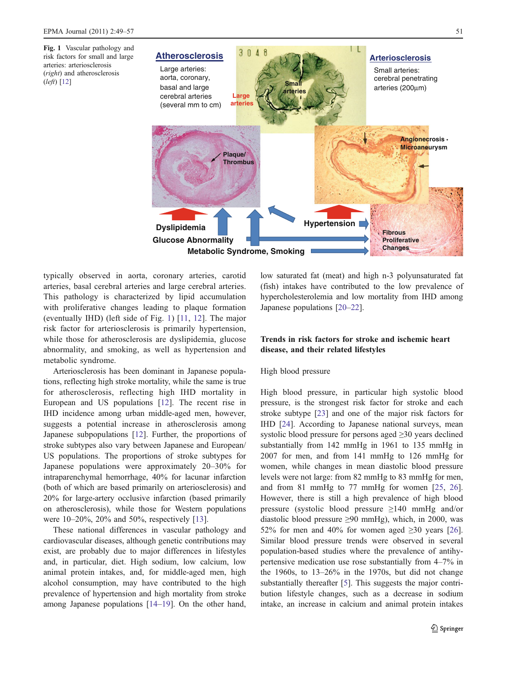<span id="page-2-0"></span>Fig. 1 Vascular pathology and risk factors for small and large arteries: arteriosclerosis (right) and atherosclerosis (left) [[12](#page-7-0)]



typically observed in aorta, coronary arteries, carotid arteries, basal cerebral arteries and large cerebral arteries. This pathology is characterized by lipid accumulation with proliferative changes leading to plaque formation (eventually IHD) (left side of Fig. 1) [[11](#page-7-0), [12](#page-7-0)]. The major risk factor for arteriosclerosis is primarily hypertension, while those for atherosclerosis are dyslipidemia, glucose abnormality, and smoking, as well as hypertension and metabolic syndrome.

Arteriosclerosis has been dominant in Japanese populations, reflecting high stroke mortality, while the same is true for atherosclerosis, reflecting high IHD mortality in European and US populations [[12\]](#page-7-0). The recent rise in IHD incidence among urban middle-aged men, however, suggests a potential increase in atherosclerosis among Japanese subpopulations [\[12](#page-7-0)]. Further, the proportions of stroke subtypes also vary between Japanese and European/ US populations. The proportions of stroke subtypes for Japanese populations were approximately 20–30% for intraparenchymal hemorrhage, 40% for lacunar infarction (both of which are based primarily on arteriosclerosis) and 20% for large-artery occlusive infarction (based primarily on atherosclerosis), while those for Western populations were 10–20%, 20% and 50%, respectively [[13\]](#page-7-0).

These national differences in vascular pathology and cardiovascular diseases, although genetic contributions may exist, are probably due to major differences in lifestyles and, in particular, diet. High sodium, low calcium, low animal protein intakes, and, for middle-aged men, high alcohol consumption, may have contributed to the high prevalence of hypertension and high mortality from stroke among Japanese populations [\[14](#page-7-0)–[19](#page-7-0)]. On the other hand, low saturated fat (meat) and high n-3 polyunsaturated fat (fish) intakes have contributed to the low prevalence of hypercholesterolemia and low mortality from IHD among Japanese populations [\[20](#page-7-0)–[22](#page-7-0)].

# Trends in risk factors for stroke and ischemic heart disease, and their related lifestyles

## High blood pressure

High blood pressure, in particular high systolic blood pressure, is the strongest risk factor for stroke and each stroke subtype [[23\]](#page-7-0) and one of the major risk factors for IHD [\[24](#page-7-0)]. According to Japanese national surveys, mean systolic blood pressure for persons aged ≥30 years declined substantially from 142 mmHg in 1961 to 135 mmHg in 2007 for men, and from 141 mmHg to 126 mmHg for women, while changes in mean diastolic blood pressure levels were not large: from 82 mmHg to 83 mmHg for men, and from 81 mmHg to 77 mmHg for women [\[25](#page-7-0), [26\]](#page-7-0). However, there is still a high prevalence of high blood pressure (systolic blood pressure ≥140 mmHg and/or diastolic blood pressure  $\geq 90$  mmHg), which, in 2000, was 52% for men and 40% for women aged  $\geq 30$  years [[26\]](#page-7-0). Similar blood pressure trends were observed in several population-based studies where the prevalence of antihypertensive medication use rose substantially from 4–7% in the 1960s, to 13–26% in the 1970s, but did not change substantially thereafter [[5\]](#page-7-0). This suggests the major contribution lifestyle changes, such as a decrease in sodium intake, an increase in calcium and animal protein intakes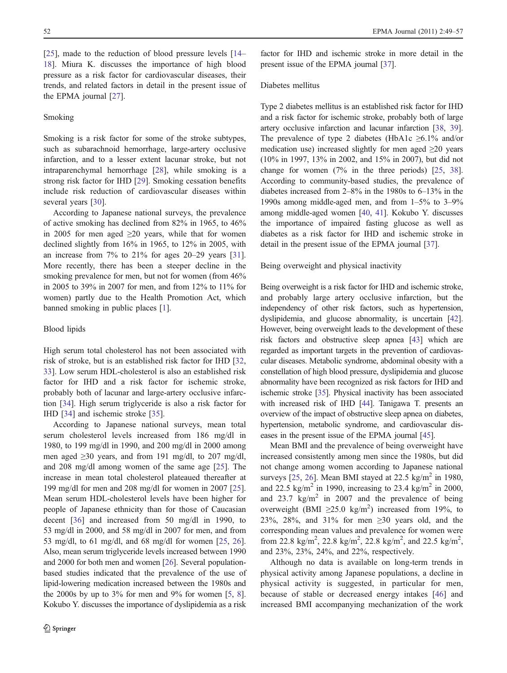[\[25](#page-7-0)], made to the reduction of blood pressure levels [\[14](#page-7-0)– [18](#page-7-0)]. Miura K. discusses the importance of high blood pressure as a risk factor for cardiovascular diseases, their trends, and related factors in detail in the present issue of the EPMA journal [[27\]](#page-7-0).

## Smoking

Smoking is a risk factor for some of the stroke subtypes, such as subarachnoid hemorrhage, large-artery occlusive infarction, and to a lesser extent lacunar stroke, but not intraparenchymal hemorrhage [\[28](#page-7-0)], while smoking is a strong risk factor for IHD [[29\]](#page-7-0). Smoking cessation benefits include risk reduction of cardiovascular diseases within several years [\[30](#page-7-0)].

According to Japanese national surveys, the prevalence of active smoking has declined from 82% in 1965, to 46% in 2005 for men aged  $\geq 20$  years, while that for women declined slightly from 16% in 1965, to 12% in 2005, with an increase from  $7\%$  to  $21\%$  for ages  $20-29$  years [\[31](#page-7-0)]. More recently, there has been a steeper decline in the smoking prevalence for men, but not for women (from  $46\%$ ) in 2005 to 39% in 2007 for men, and from 12% to 11% for women) partly due to the Health Promotion Act, which banned smoking in public places [[1\]](#page-6-0).

#### Blood lipids

High serum total cholesterol has not been associated with risk of stroke, but is an established risk factor for IHD [[32,](#page-7-0) [33](#page-7-0)]. Low serum HDL-cholesterol is also an established risk factor for IHD and a risk factor for ischemic stroke, probably both of lacunar and large-artery occlusive infarction [\[34](#page-7-0)]. High serum triglyceride is also a risk factor for IHD [\[34](#page-7-0)] and ischemic stroke [\[35](#page-7-0)].

According to Japanese national surveys, mean total serum cholesterol levels increased from 186 mg/dl in 1980, to 199 mg/dl in 1990, and 200 mg/dl in 2000 among men aged  $\geq$ 30 years, and from 191 mg/dl, to 207 mg/dl, and 208 mg/dl among women of the same age [[25\]](#page-7-0). The increase in mean total cholesterol plateaued thereafter at 199 mg/dl for men and 208 mg/dl for women in 2007 [\[25](#page-7-0)]. Mean serum HDL-cholesterol levels have been higher for people of Japanese ethnicity than for those of Caucasian decent [\[36](#page-7-0)] and increased from 50 mg/dl in 1990, to 53 mg/dl in 2000, and 58 mg/dl in 2007 for men, and from 53 mg/dl, to 61 mg/dl, and 68 mg/dl for women [\[25](#page-7-0), [26](#page-7-0)]. Also, mean serum triglyceride levels increased between 1990 and 2000 for both men and women [\[26\]](#page-7-0). Several populationbased studies indicated that the prevalence of the use of lipid-lowering medication increased between the 1980s and the 2000s by up to  $3\%$  for men and  $9\%$  for women [[5,](#page-7-0) [8\]](#page-7-0). Kokubo Y. discusses the importance of dyslipidemia as a risk

factor for IHD and ischemic stroke in more detail in the present issue of the EPMA journal [\[37](#page-7-0)].

#### Diabetes mellitus

Type 2 diabetes mellitus is an established risk factor for IHD and a risk factor for ischemic stroke, probably both of large artery occlusive infarction and lacunar infarction [[38](#page-7-0), [39\]](#page-7-0). The prevalence of type 2 diabetes (HbA1c  $\geq 6.1\%$  and/or medication use) increased slightly for men aged  $\geq 20$  years (10% in 1997, 13% in 2002, and 15% in 2007), but did not change for women (7% in the three periods) [[25](#page-7-0), [38\]](#page-7-0). According to community-based studies, the prevalence of diabetes increased from 2–8% in the 1980s to 6–13% in the 1990s among middle-aged men, and from 1–5% to 3–9% among middle-aged women [\[40,](#page-7-0) [41\]](#page-8-0). Kokubo Y. discusses the importance of impaired fasting glucose as well as diabetes as a risk factor for IHD and ischemic stroke in detail in the present issue of the EPMA journal [\[37\]](#page-7-0).

Being overweight and physical inactivity

Being overweight is a risk factor for IHD and ischemic stroke, and probably large artery occlusive infarction, but the independency of other risk factors, such as hypertension, dyslipidemia, and glucose abnormality, is uncertain [\[42\]](#page-8-0). However, being overweight leads to the development of these risk factors and obstructive sleep apnea [\[43\]](#page-8-0) which are regarded as important targets in the prevention of cardiovascular diseases. Metabolic syndrome, abdominal obesity with a constellation of high blood pressure, dyslipidemia and glucose abnormality have been recognized as risk factors for IHD and ischemic stroke [\[35](#page-7-0)]. Physical inactivity has been associated with increased risk of IHD [\[44\]](#page-8-0). Tanigawa T. presents an overview of the impact of obstructive sleep apnea on diabetes, hypertension, metabolic syndrome, and cardiovascular diseases in the present issue of the EPMA journal [[45](#page-8-0)].

Mean BMI and the prevalence of being overweight have increased consistently among men since the 1980s, but did not change among women according to Japanese national surveys [[25,](#page-7-0) [26](#page-7-0)]. Mean BMI stayed at 22.5 kg/m<sup>2</sup> in 1980, and 22.5 kg/m<sup>2</sup> in 1990, increasing to 23.4 kg/m<sup>2</sup> in 2000, and 23.7 kg/m<sup>2</sup> in 2007 and the prevalence of being overweight (BMI  $\geq 25.0 \text{ kg/m}^2$ ) increased from 19%, to 23%, 28%, and 31% for men  $\geq$ 30 years old, and the corresponding mean values and prevalence for women were from 22.8 kg/m<sup>2</sup>, 22.8 kg/m<sup>2</sup>, 22.8 kg/m<sup>2</sup>, and 22.5 kg/m<sup>2</sup>, and 23%, 23%, 24%, and 22%, respectively.

Although no data is available on long-term trends in physical activity among Japanese populations, a decline in physical activity is suggested, in particular for men, because of stable or decreased energy intakes [\[46](#page-8-0)] and increased BMI accompanying mechanization of the work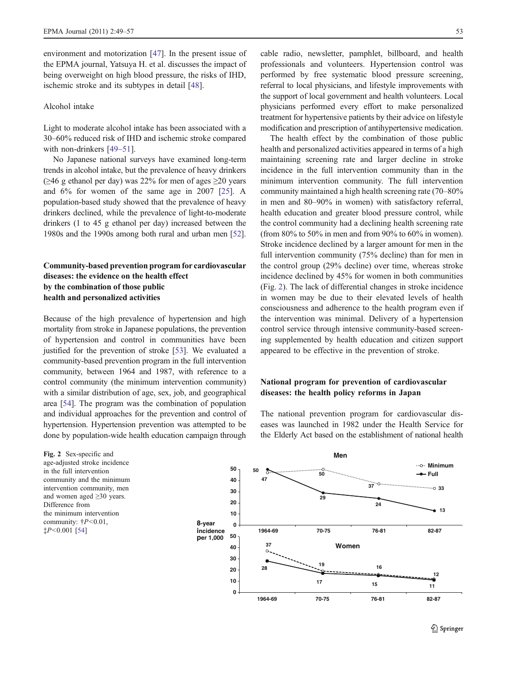environment and motorization [\[47](#page-8-0)]. In the present issue of the EPMA journal, Yatsuya H. et al. discusses the impact of being overweight on high blood pressure, the risks of IHD, ischemic stroke and its subtypes in detail [\[48](#page-8-0)].

### Alcohol intake

Light to moderate alcohol intake has been associated with a 30–60% reduced risk of IHD and ischemic stroke compared with non-drinkers [[49](#page-8-0)–[51\]](#page-8-0).

No Japanese national surveys have examined long-term trends in alcohol intake, but the prevalence of heavy drinkers ( $≥$ 46 g ethanol per day) was 22% for men of ages  $≥$ 20 years and 6% for women of the same age in 2007 [\[25](#page-7-0)]. A population-based study showed that the prevalence of heavy drinkers declined, while the prevalence of light-to-moderate drinkers (1 to 45 g ethanol per day) increased between the 1980s and the 1990s among both rural and urban men [[52\]](#page-8-0).

# Community-based prevention program for cardiovascular diseases: the evidence on the health effect by the combination of those public health and personalized activities

Because of the high prevalence of hypertension and high mortality from stroke in Japanese populations, the prevention of hypertension and control in communities have been justified for the prevention of stroke [[53](#page-8-0)]. We evaluated a community-based prevention program in the full intervention community, between 1964 and 1987, with reference to a control community (the minimum intervention community) with a similar distribution of age, sex, job, and geographical area [\[54\]](#page-8-0). The program was the combination of population and individual approaches for the prevention and control of hypertension. Hypertension prevention was attempted to be done by population-wide health education campaign through

Fig. 2 Sex-specific and age-adjusted stroke incidence in the full intervention community and the minimum intervention community, men and women aged ≥30 years. Difference from the minimum intervention community:  $\frac{1}{7}P \leq 0.01$ , ‡P<0.001 [\[54\]](#page-8-0)

cable radio, newsletter, pamphlet, billboard, and health professionals and volunteers. Hypertension control was performed by free systematic blood pressure screening, referral to local physicians, and lifestyle improvements with the support of local government and health volunteers. Local physicians performed every effort to make personalized treatment for hypertensive patients by their advice on lifestyle modification and prescription of antihypertensive medication.

The health effect by the combination of those public health and personalized activities appeared in terms of a high maintaining screening rate and larger decline in stroke incidence in the full intervention community than in the minimum intervention community. The full intervention community maintained a high health screening rate (70–80% in men and 80–90% in women) with satisfactory referral, health education and greater blood pressure control, while the control community had a declining health screening rate (from 80% to 50% in men and from 90% to 60% in women). Stroke incidence declined by a larger amount for men in the full intervention community (75% decline) than for men in the control group (29% decline) over time, whereas stroke incidence declined by 45% for women in both communities (Fig. 2). The lack of differential changes in stroke incidence in women may be due to their elevated levels of health consciousness and adherence to the health program even if the intervention was minimal. Delivery of a hypertension control service through intensive community-based screening supplemented by health education and citizen support appeared to be effective in the prevention of stroke.

# National program for prevention of cardiovascular diseases: the health policy reforms in Japan

The national prevention program for cardiovascular diseases was launched in 1982 under the Health Service for the Elderly Act based on the establishment of national health

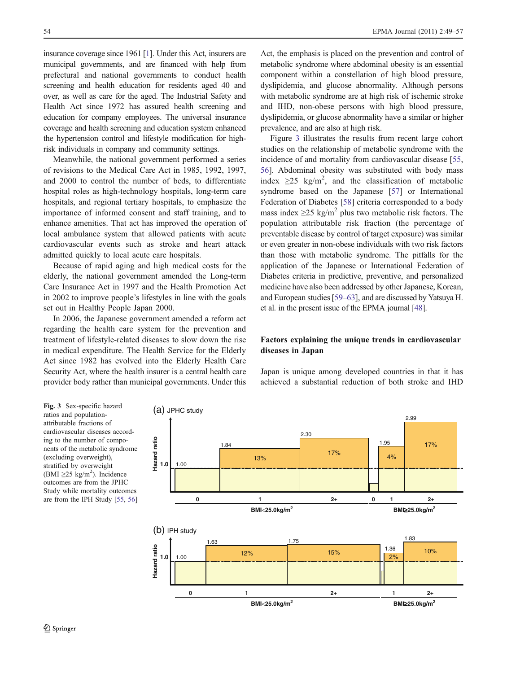insurance coverage since 1961 [\[1\]](#page-6-0). Under this Act, insurers are municipal governments, and are financed with help from prefectural and national governments to conduct health screening and health education for residents aged 40 and over, as well as care for the aged. The Industrial Safety and Health Act since 1972 has assured health screening and education for company employees. The universal insurance coverage and health screening and education system enhanced the hypertension control and lifestyle modification for highrisk individuals in company and community settings.

Meanwhile, the national government performed a series of revisions to the Medical Care Act in 1985, 1992, 1997, and 2000 to control the number of beds, to differentiate hospital roles as high-technology hospitals, long-term care hospitals, and regional tertiary hospitals, to emphasize the importance of informed consent and staff training, and to enhance amenities. That act has improved the operation of local ambulance system that allowed patients with acute cardiovascular events such as stroke and heart attack admitted quickly to local acute care hospitals.

Because of rapid aging and high medical costs for the elderly, the national government amended the Long-term Care Insurance Act in 1997 and the Health Promotion Act in 2002 to improve people's lifestyles in line with the goals set out in Healthy People Japan 2000.

In 2006, the Japanese government amended a reform act regarding the health care system for the prevention and treatment of lifestyle-related diseases to slow down the rise in medical expenditure. The Health Service for the Elderly Act since 1982 has evolved into the Elderly Health Care Security Act, where the health insurer is a central health care provider body rather than municipal governments. Under this

Act, the emphasis is placed on the prevention and control of metabolic syndrome where abdominal obesity is an essential component within a constellation of high blood pressure, dyslipidemia, and glucose abnormality. Although persons with metabolic syndrome are at high risk of ischemic stroke and IHD, non-obese persons with high blood pressure, dyslipidemia, or glucose abnormality have a similar or higher prevalence, and are also at high risk.

Figure 3 illustrates the results from recent large cohort studies on the relationship of metabolic syndrome with the incidence of and mortality from cardiovascular disease [[55,](#page-8-0) [56](#page-8-0)]. Abdominal obesity was substituted with body mass index  $\geq$ 25 kg/m<sup>2</sup>, and the classification of metabolic syndrome based on the Japanese [[57\]](#page-8-0) or International Federation of Diabetes [\[58](#page-8-0)] criteria corresponded to a body mass index  $\geq$ 25 kg/m<sup>2</sup> plus two metabolic risk factors. The population attributable risk fraction (the percentage of preventable disease by control of target exposure) was similar or even greater in non-obese individuals with two risk factors than those with metabolic syndrome. The pitfalls for the application of the Japanese or International Federation of Diabetes criteria in predictive, preventive, and personalized medicine have also been addressed by other Japanese, Korean, and European studies [\[59](#page-8-0)–[63](#page-8-0)], and are discussed by Yatsuya H. et al. in the present issue of the EPMA journal [\[48](#page-8-0)].

# Factors explaining the unique trends in cardiovascular diseases in Japan

Fig. 3 Sex-specific hazard ratios and populationattributable fractions of cardiovascular diseases according to the number of components of the metabolic syndrome (excluding overweight), stratified by overweight (BMI  $\geq$ 25 kg/m<sup>2</sup>). Incidence outcomes are from the JPHC Study while mortality outcomes are from the IPH Study [\[55,](#page-8-0) [56\]](#page-8-0)

Japan is unique among developed countries in that it has achieved a substantial reduction of both stroke and IHD

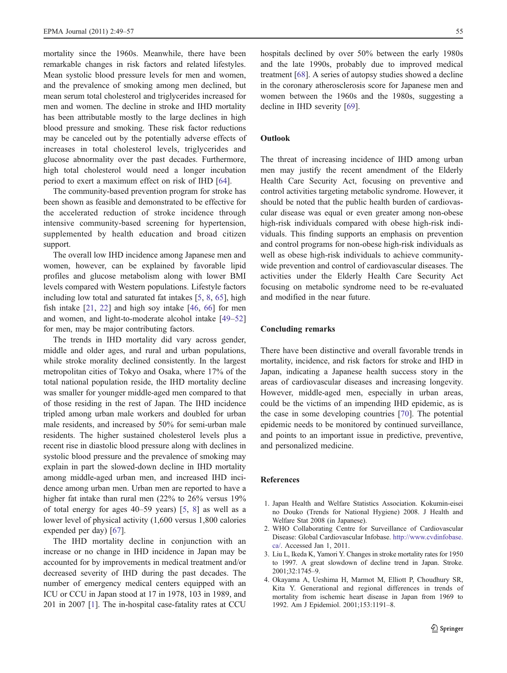<span id="page-6-0"></span>mortality since the 1960s. Meanwhile, there have been remarkable changes in risk factors and related lifestyles. Mean systolic blood pressure levels for men and women, and the prevalence of smoking among men declined, but mean serum total cholesterol and triglycerides increased for men and women. The decline in stroke and IHD mortality has been attributable mostly to the large declines in high blood pressure and smoking. These risk factor reductions may be canceled out by the potentially adverse effects of increases in total cholesterol levels, triglycerides and glucose abnormality over the past decades. Furthermore, high total cholesterol would need a longer incubation period to exert a maximum effect on risk of IHD [[64\]](#page-8-0).

The community-based prevention program for stroke has been shown as feasible and demonstrated to be effective for the accelerated reduction of stroke incidence through intensive community-based screening for hypertension, supplemented by health education and broad citizen support.

The overall low IHD incidence among Japanese men and women, however, can be explained by favorable lipid profiles and glucose metabolism along with lower BMI levels compared with Western populations. Lifestyle factors including low total and saturated fat intakes [\[5](#page-7-0), [8,](#page-7-0) [65\]](#page-8-0), high fish intake [[21,](#page-7-0) [22](#page-7-0)] and high soy intake [\[46](#page-8-0), [66\]](#page-8-0) for men and women, and light-to-moderate alcohol intake [[49](#page-8-0)–[52\]](#page-8-0) for men, may be major contributing factors.

The trends in IHD mortality did vary across gender, middle and older ages, and rural and urban populations, while stroke morality declined consistently. In the largest metropolitan cities of Tokyo and Osaka, where 17% of the total national population reside, the IHD mortality decline was smaller for younger middle-aged men compared to that of those residing in the rest of Japan. The IHD incidence tripled among urban male workers and doubled for urban male residents, and increased by 50% for semi-urban male residents. The higher sustained cholesterol levels plus a recent rise in diastolic blood pressure along with declines in systolic blood pressure and the prevalence of smoking may explain in part the slowed-down decline in IHD mortality among middle-aged urban men, and increased IHD incidence among urban men. Urban men are reported to have a higher fat intake than rural men (22% to 26% versus 19% of total energy for ages 40–59 years) [\[5](#page-7-0), [8](#page-7-0)] as well as a lower level of physical activity (1,600 versus 1,800 calories expended per day) [\[67](#page-8-0)].

The IHD mortality decline in conjunction with an increase or no change in IHD incidence in Japan may be accounted for by improvements in medical treatment and/or decreased severity of IHD during the past decades. The number of emergency medical centers equipped with an ICU or CCU in Japan stood at 17 in 1978, 103 in 1989, and 201 in 2007 [1]. The in-hospital case-fatality rates at CCU hospitals declined by over 50% between the early 1980s and the late 1990s, probably due to improved medical treatment [[68\]](#page-8-0). A series of autopsy studies showed a decline in the coronary atherosclerosis score for Japanese men and women between the 1960s and the 1980s, suggesting a decline in IHD severity [\[69](#page-8-0)].

## **Outlook**

The threat of increasing incidence of IHD among urban men may justify the recent amendment of the Elderly Health Care Security Act, focusing on preventive and control activities targeting metabolic syndrome. However, it should be noted that the public health burden of cardiovascular disease was equal or even greater among non-obese high-risk individuals compared with obese high-risk individuals. This finding supports an emphasis on prevention and control programs for non-obese high-risk individuals as well as obese high-risk individuals to achieve communitywide prevention and control of cardiovascular diseases. The activities under the Elderly Health Care Security Act focusing on metabolic syndrome need to be re-evaluated and modified in the near future.

## Concluding remarks

There have been distinctive and overall favorable trends in mortality, incidence, and risk factors for stroke and IHD in Japan, indicating a Japanese health success story in the areas of cardiovascular diseases and increasing longevity. However, middle-aged men, especially in urban areas, could be the victims of an impending IHD epidemic, as is the case in some developing countries [[70\]](#page-8-0). The potential epidemic needs to be monitored by continued surveillance, and points to an important issue in predictive, preventive, and personalized medicine.

#### References

- 1. Japan Health and Welfare Statistics Association. Kokumin-eisei no Douko (Trends for National Hygiene) 2008. J Health and Welfare Stat 2008 (in Japanese).
- 2. WHO Collaborating Centre for Surveillance of Cardiovascular Disease: Global Cardiovascular Infobase. [http://www.cvdinfobase.](http://www.cvdinfobase.ca/) [ca/.](http://www.cvdinfobase.ca/) Accessed Jan 1, 2011.
- 3. Liu L, Ikeda K, Yamori Y. Changes in stroke mortality rates for 1950 to 1997. A great slowdown of decline trend in Japan. Stroke. 2001;32:1745–9.
- 4. Okayama A, Ueshima H, Marmot M, Elliott P, Choudhury SR, Kita Y. Generational and regional differences in trends of mortality from ischemic heart disease in Japan from 1969 to 1992. Am J Epidemiol. 2001;153:1191–8.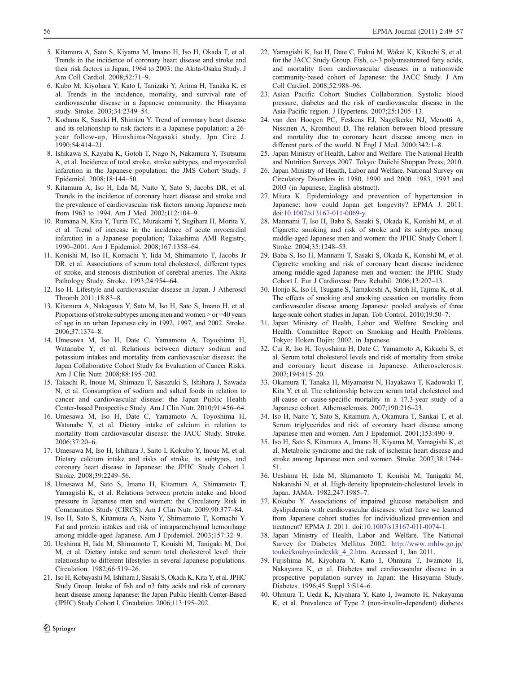- <span id="page-7-0"></span>5. Kitamura A, Sato S, Kiyama M, Imano H, Iso H, Okada T, et al. Trends in the incidence of coronary heart disease and stroke and their risk factors in Japan, 1964 to 2003: the Akita-Osaka Study. J Am Coll Cardiol. 2008;52:71–9.
- 6. Kubo M, Kiyohara Y, Kato I, Tanizaki Y, Arima H, Tanaka K, et al. Trends in the incidence, mortality, and survival rate of cardiovascular disease in a Japanese community: the Hisayama study. Stroke. 2003;34:2349–54.
- 7. Kodama K, Sasaki H, Shimizu Y. Trend of coronary heart disease and its relationship to risk factors in a Japanese population: a 26 year follow-up, Hiroshima/Nagasaki study. Jpn Circ J. 1990;54:414–21.
- 8. Ishikawa S, Kayaba K, Gotoh T, Nago N, Nakamura Y, Tsutsumi A, et al. Incidence of total stroke, stroke subtypes, and myocardial infarction in the Japanese population: the JMS Cohort Study. J Epidemiol. 2008;18:144–50.
- 9. Kitamura A, Iso H, Iida M, Naito Y, Sato S, Jacobs DR, et al. Trends in the incidence of coronary heart disease and stroke and the prevalence of cardiovascular risk factors among Japanese men from 1963 to 1994. Am J Med. 2002;112:104–9.
- 10. Rumana N, Kita Y, Turin TC, Murakami Y, Sugihara H, Morita Y, et al. Trend of increase in the incidence of acute myocardial infarction in a Japanese population; Takashima AMI Registry, 1990–2001. Am J Epidemiol. 2008;167:1358–64.
- 11. Konishi M, Iso H, Komachi Y, Iida M, Shimamoto T, Jacobs Jr DR, et al. Associations of serum total cholesterol, different types of stroke, and stenosis distribution of cerebral arteries. The Akita Pathology Study. Stroke. 1993;24:954–64.
- 12. Iso H. Lifestyle and cardiovascular disease in Japan. J Atheroscl Thromb 2011;18:83–8.
- 13. Kitamura A, Nakagawa Y, Sato M, Iso H, Sato S, Imano H, et al. Proportions of stroke subtypes among men and women > or =40 years of age in an urban Japanese city in 1992, 1997, and 2002. Stroke. 2006;37:1374–8.
- 14. Umesawa M, Iso H, Date C, Yamamoto A, Toyoshima H, Watanabe Y, et al. Relations between dietary sodium and potassium intakes and mortality from cardiovascular disease: the Japan Collaborative Cohort Study for Evaluation of Cancer Risks. Am J Clin Nutr. 2008;88:195–202.
- 15. Takachi R, Inoue M, Shimazu T, Sasazuki S, Ishihara J, Sawada N, et al. Consumption of sodium and salted foods in relation to cancer and cardiovascular disease: the Japan Public Health Center-based Prospective Study. Am J Clin Nutr. 2010;91:456–64.
- 16. Umesawa M, Iso H, Date C, Yamamoto A, Toyoshima H, Watanabe Y, et al. Dietary intake of calcium in relation to mortality from cardiovascular disease: the JACC Study. Stroke. 2006;37:20–6.
- 17. Umesawa M, Iso H, Ishihara J, Saito I, Kokubo Y, Inoue M, et al. Dietary calcium intake and risks of stroke, its subtypes, and coronary heart disease in Japanese: the JPHC Study Cohort I. Stroke. 2008;39:2249–56.
- 18. Umesawa M, Sato S, Imano H, Kitamura A, Shimamoto T, Yamagishi K, et al. Relations between protein intake and blood pressure in Japanese men and women: the Circulatory Risk in Communities Study (CIRCS). Am J Clin Nutr. 2009;90:377–84.
- 19. Iso H, Sato S, Kitamura A, Naito Y, Shimamoto T, Komachi Y. Fat and protein intakes and risk of intraparenchymal hemorrhage among middle-aged Japanese. Am J Epidemiol. 2003;157:32–9.
- 20. Ueshima H, Iida M, Shimamoto T, Konishi M, Tanigaki M, Doi M, et al. Dietary intake and serum total cholesterol level: their relationship to different lifestyles in several Japanese populations. Circulation. 1982;66:519–26.
- 21. Iso H, Kobayashi M, Ishihara J, Sasaki S, Okada K, Kita Y, et al. JPHC Study Group. Intake of fish and n3 fatty acids and risk of coronary heart disease among Japanese: the Japan Public Health Center-Based (JPHC) Study Cohort I. Circulation. 2006;113:195–202.
- $\textcircled{2}$  Springer
- 22. Yamagishi K, Iso H, Date C, Fukui M, Wakai K, Kikuchi S, et al. for the JACC Study Group. Fish,  $\omega$ -3 polyunsaturated fatty acids, and mortality from cardiovascular diseases in a nationwide community-based cohort of Japanese: the JACC Study. J Am Coll Cardiol. 2008;52:988–96.
- 23. Asian Pacific Cohort Studies Collaboration. Systolic blood pressure, diabetes and the risk of cardiovascular disease in the Asia-Pacific region. J Hypertens. 2007;25:1205–13.
- 24. van den Hoogen PC, Feskens EJ, Nagelkerke NJ, Menotti A, Nissinen A, Kromhout D. The relation between blood pressure and mortality due to coronary heart disease among men in different parts of the world. N Engl J Med. 2000;342:1–8.
- 25. Japan Ministry of Health, Labor and Welfare. The National Health and Nutrition Surveys 2007. Tokyo: Daiichi Shuppan Press; 2010.
- 26. Japan Ministry of Health, Labor and Welfare. National Survey on Circulatory Disorders in 1980, 1990 and 2000. 1983, 1993 and 2003 (in Japanese, English abstract).
- 27. Miura K. Epidemiology and prevention of hypertension in Japanese: how could Japan get longevity? EPMA J. 2011. doi[:10.1007/s13167-011-0069-y.](http://dx.doi.org/10.1007/s13167-011-0069-y)
- 28. Mannami T, Iso H, Baba S, Sasaki S, Okada K, Konishi M, et al. Cigarette smoking and risk of stroke and its subtypes among middle-aged Japanese men and women: the JPHC Study Cohort I. Stroke. 2004;35:1248–53.
- 29. Baba S, Iso H, Mannami T, Sasaki S, Okada K, Konishi M, et al. Cigarette smoking and risk of coronary heart disease incidence among middle-aged Japanese men and women: the JPHC Study Cohort I. Eur J Cardiovasc Prev Rehabil. 2006;13:207–13.
- 30. Honjo K, Iso H, Tsugane S, Tamakoshi A, Satoh H, Tajima K, et al. The effects of smoking and smoking cessation on mortality from cardiovascular disease among Japanese: pooled analysis of three large-scale cohort studies in Japan. Tob Control. 2010;19:50–7.
- 31. Japan Ministry of Health, Labor and Welfare. Smoking and Health. Committee Report on Smoking and Health Problems. Tokyo: Hoken Dojin; 2002. in Japanese.
- 32. Cui R, Iso H, Toyoshima H, Date C, Yamamoto A, Kikuchi S, et al. Serum total cholesterol levels and risk of mortality from stroke and coronary heart disease in Japanese. Atherosclerosis. 2007;194:415–20.
- 33. Okamura T, Tanaka H, Miyamatsu N, Hayakawa T, Kadowaki T, Kita Y, et al. The relationship between serum total cholesterol and all-cause or cause-specific mortality in a 17.3-year study of a Japanese cohort. Atherosclerosis. 2007;190:216–23.
- 34. Iso H, Naito Y, Sato S, Kitamura A, Okamura T, Sankai T, et al. Serum triglycerides and risk of coronary heart disease among Japanese men and women. Am J Epidemiol. 2001;153:490–9.
- 35. Iso H, Sato S, Kitamura A, Imano H, Kiyama M, Yamagishi K, et al. Metabolic syndrome and the risk of ischemic heart disease and stroke among Japanese men and women. Stroke. 2007;38:1744– 51.
- 36. Ueshima H, Iida M, Shimamoto T, Konishi M, Tanigaki M, Nakanishi N, et al. High-density lipoprotein-cholesterol levels in Japan. JAMA. 1982;247:1985–7.
- 37. Kokubo Y. Associations of impaired glucose metabolism and dyslipidemia with cardiovascular diseases: what have we learned from Japanese cohort studies for individualized prevention and treatment? EPMA J. 2011. doi[:10.1007/s13167-011-0074-1](http://dx.doi.org/10.1007/s13167-011-0074-1).
- 38. Japan Ministry of Health, Labor and Welfare. The National Survey for Diabetes Mellitus 2002. [http://www..mhlw.go.jp/](http://www..mhlw.go.jp/toukei/kouhyo/indexkk_4_2.htm) [toukei/kouhyo/indexkk\\_4\\_2.htm](http://www..mhlw.go.jp/toukei/kouhyo/indexkk_4_2.htm). Accessed 1, Jan 2011.
- 39. Fujishima M, Kiyohara Y, Kato I, Ohmura T, Iwamoto H, Nakayama K, et al. Diabetes and cardiovascular disease in a prospective population survey in Japan: the Hisayama Study. Diabetes. 1996;45 Suppl 3:S14–6.
- 40. Ohmura T, Ueda K, Kiyahara Y, Kato I, Iwamoto H, Nakayama K, et al. Prevalence of Type 2 (non-insulin-dependent) diabetes